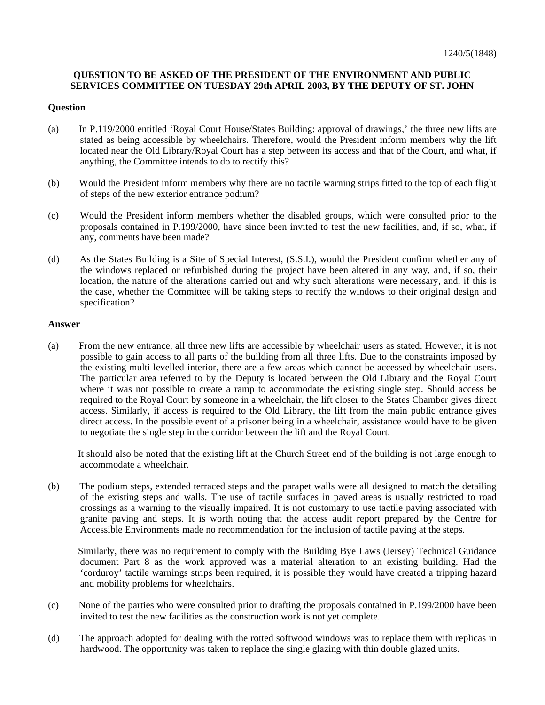## **QUESTION TO BE ASKED OF THE PRESIDENT OF THE ENVIRONMENT AND PUBLIC SERVICES COMMITTEE ON TUESDAY 29th APRIL 2003, BY THE DEPUTY OF ST. JOHN**

## **Question**

- (a) In P.119/2000 entitled 'Royal Court House/States Building: approval of drawings,' the three new lifts are stated as being accessible by wheelchairs. Therefore, would the President inform members why the lift located near the Old Library/Royal Court has a step between its access and that of the Court, and what, if anything, the Committee intends to do to rectify this?
- (b) Would the President inform members why there are no tactile warning strips fitted to the top of each flight of steps of the new exterior entrance podium?
- (c) Would the President inform members whether the disabled groups, which were consulted prior to the proposals contained in P.199/2000, have since been invited to test the new facilities, and, if so, what, if any, comments have been made?
- (d) As the States Building is a Site of Special Interest, (S.S.I.), would the President confirm whether any of the windows replaced or refurbished during the project have been altered in any way, and, if so, their location, the nature of the alterations carried out and why such alterations were necessary, and, if this is the case, whether the Committee will be taking steps to rectify the windows to their original design and specification?

## **Answer**

(a) From the new entrance, all three new lifts are accessible by wheelchair users as stated. However, it is not possible to gain access to all parts of the building from all three lifts. Due to the constraints imposed by the existing multi levelled interior, there are a few areas which cannot be accessed by wheelchair users. The particular area referred to by the Deputy is located between the Old Library and the Royal Court where it was not possible to create a ramp to accommodate the existing single step. Should access be required to the Royal Court by someone in a wheelchair, the lift closer to the States Chamber gives direct access. Similarly, if access is required to the Old Library, the lift from the main public entrance gives direct access. In the possible event of a prisoner being in a wheelchair, assistance would have to be given to negotiate the single step in the corridor between the lift and the Royal Court.

 It should also be noted that the existing lift at the Church Street end of the building is not large enough to accommodate a wheelchair.

(b) The podium steps, extended terraced steps and the parapet walls were all designed to match the detailing of the existing steps and walls. The use of tactile surfaces in paved areas is usually restricted to road crossings as a warning to the visually impaired. It is not customary to use tactile paving associated with granite paving and steps. It is worth noting that the access audit report prepared by the Centre for Accessible Environments made no recommendation for the inclusion of tactile paving at the steps.

 Similarly, there was no requirement to comply with the Building Bye Laws (Jersey) Technical Guidance document Part 8 as the work approved was a material alteration to an existing building. Had the 'corduroy' tactile warnings strips been required, it is possible they would have created a tripping hazard and mobility problems for wheelchairs.

- (c) None of the parties who were consulted prior to drafting the proposals contained in P.199/2000 have been invited to test the new facilities as the construction work is not yet complete.
- (d) The approach adopted for dealing with the rotted softwood windows was to replace them with replicas in hardwood. The opportunity was taken to replace the single glazing with thin double glazed units.